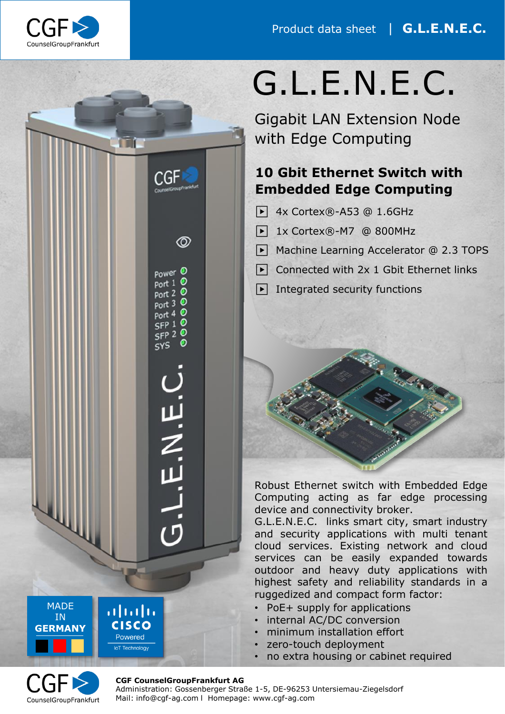

**TT** 

C GH

 $\circledcirc$ 

power<sup>O</sup>  $port 1 ①$ port 2 0  $port 3 ①$  $Port 4 0$  $SFP 10$  $SFP 2$ <sup>O</sup>  $<sub>SYS</sub>$ </sub>

リン・ロー

# G.L.E.N.E.C.

Gigabit LAN Extension Node with Edge Computing

## **10 Gbit Ethernet Switch with Embedded Edge Computing**

- ▶ 4x Cortex®-A53 @ 1.6GHz
- ▶ 1x Cortex®-M7 @ 800MHz
- ▶ Machine Learning Accelerator @ 2.3 TOPS
- $\triangleright$  Connected with 2x 1 Gbit Ethernet links
- $\blacktriangleright$  Integrated security functions

Robust Ethernet switch with Embedded Edge Computing acting as far edge processing device and connectivity broker.

G.L.E.N.E.C. links smart city, smart industry and security applications with multi tenant cloud services. Existing network and cloud services can be easily expanded towards outdoor and heavy duty applications with highest safety and reliability standards in a ruggedized and compact form factor:

- PoE+ supply for applications
- internal AC/DC conversion
- minimum installation effort
- zero-touch deployment
- no extra housing or cabinet required



**MADE** IN **GERMANY**

╙╙

#### **CGF CounselGroupFrankfurt AG**

ժիժի **CISCO** Powered loT Technology

> Administration: Gossenberger Straße 1-5, DE-96253 Untersiemau-Ziegelsdorf Mail: info@cgf-ag.com l Homepage: www.cgf-ag.com